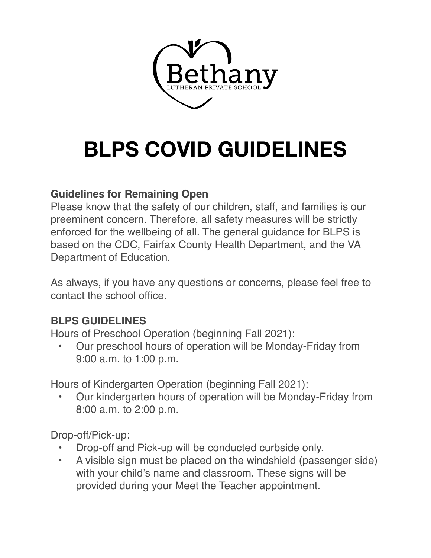# **BLPS COVID GUIDELINES**

## **Guidelines for Remaining Open**

Please know that the safety of our children, staff, and families is our preeminent concern. Therefore, all safety measures will be strictly enforced for the wellbeing of all. The general guidance for BLPS is based on the CDC, Fairfax County Health Department, and the VA Department of Education.

As always, if you have any questions or concerns, please feel free to contact the school office.

# **BLPS GUIDELINES**

Hours of Preschool Operation (beginning Fall 2021):

• Our preschool hours of operation will be Monday-Friday from 9:00 a.m. to 1:00 p.m.

Hours of Kindergarten Operation (beginning Fall 2021):

• Our kindergarten hours of operation will be Monday-Friday from 8:00 a.m. to 2:00 p.m.

Drop-off/Pick-up:

- Drop-off and Pick-up will be conducted curbside only.
- A visible sign must be placed on the windshield (passenger side) with your child's name and classroom. These signs will be provided during your Meet the Teacher appointment.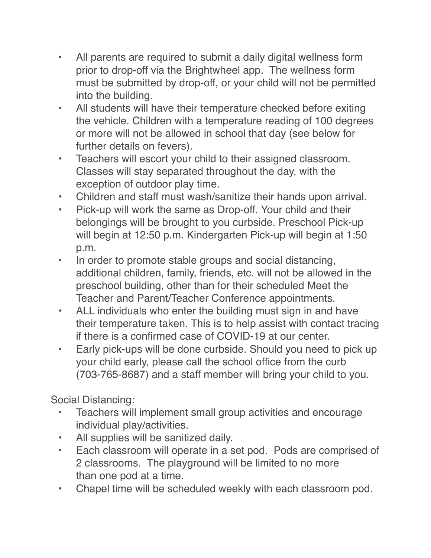- All parents are required to submit a daily digital wellness form prior to drop-off via the Brightwheel app. The wellness form must be submitted by drop-off, or your child will not be permitted into the building.
- All students will have their temperature checked before exiting the vehicle. Children with a temperature reading of 100 degrees or more will not be allowed in school that day (see below for further details on fevers).
- Teachers will escort your child to their assigned classroom. Classes will stay separated throughout the day, with the exception of outdoor play time.
- Children and staff must wash/sanitize their hands upon arrival.
- Pick-up will work the same as Drop-off. Your child and their belongings will be brought to you curbside. Preschool Pick-up will begin at 12:50 p.m. Kindergarten Pick-up will begin at 1:50 p.m.
- In order to promote stable groups and social distancing, additional children, family, friends, etc. will not be allowed in the preschool building, other than for their scheduled Meet the Teacher and Parent/Teacher Conference appointments.
- ALL individuals who enter the building must sign in and have their temperature taken. This is to help assist with contact tracing if there is a confirmed case of COVID-19 at our center.
- Early pick-ups will be done curbside. Should you need to pick up your child early, please call the school office from the curb (703-765-8687) and a staff member will bring your child to you.

Social Distancing:

- Teachers will implement small group activities and encourage individual play/activities.
- All supplies will be sanitized daily.
- Each classroom will operate in a set pod. Pods are comprised of 2 classrooms. The playground will be limited to no more than one pod at a time.
- Chapel time will be scheduled weekly with each classroom pod.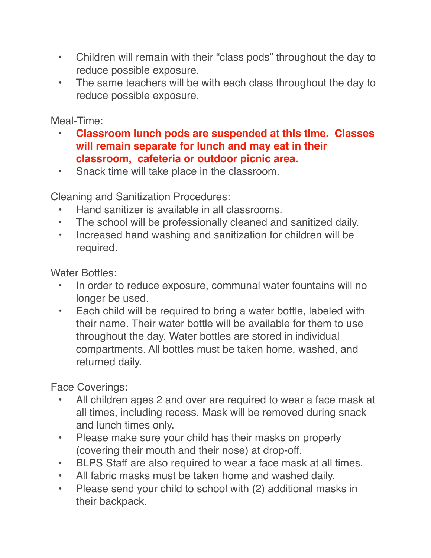- Children will remain with their "class pods" throughout the day to reduce possible exposure.
- The same teachers will be with each class throughout the day to reduce possible exposure.

Meal-Time:

- **Classroom lunch pods are suspended at this time. Classes will remain separate for lunch and may eat in their classroom, cafeteria or outdoor picnic area.**
- Snack time will take place in the classroom.

Cleaning and Sanitization Procedures:

- Hand sanitizer is available in all classrooms.
- The school will be professionally cleaned and sanitized daily.
- Increased hand washing and sanitization for children will be required.

Water Bottles:

- In order to reduce exposure, communal water fountains will no longer be used.
- Each child will be required to bring a water bottle, labeled with their name. Their water bottle will be available for them to use throughout the day. Water bottles are stored in individual compartments. All bottles must be taken home, washed, and returned daily.

Face Coverings:

- All children ages 2 and over are required to wear a face mask at all times, including recess. Mask will be removed during snack and lunch times only.
- Please make sure your child has their masks on properly (covering their mouth and their nose) at drop-off.
- BLPS Staff are also required to wear a face mask at all times.
- All fabric masks must be taken home and washed daily.
- Please send your child to school with (2) additional masks in their backpack.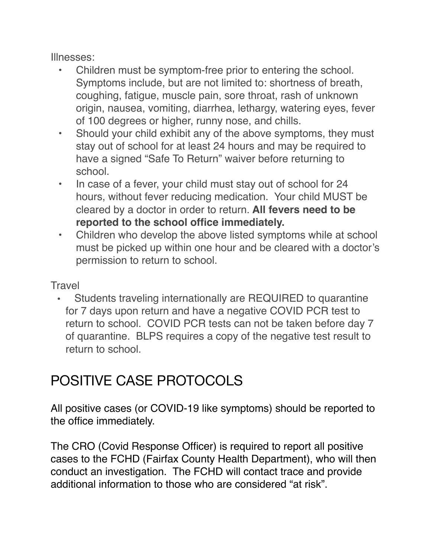Illnesses:

- Children must be symptom-free prior to entering the school. Symptoms include, but are not limited to: shortness of breath, coughing, fatigue, muscle pain, sore throat, rash of unknown origin, nausea, vomiting, diarrhea, lethargy, watering eyes, fever of 100 degrees or higher, runny nose, and chills.
- Should your child exhibit any of the above symptoms, they must stay out of school for at least 24 hours and may be required to have a signed "Safe To Return" waiver before returning to school.
- In case of a fever, your child must stay out of school for 24 hours, without fever reducing medication. Your child MUST be cleared by a doctor in order to return. **All fevers need to be reported to the school office immediately.**
- Children who develop the above listed symptoms while at school must be picked up within one hour and be cleared with a doctor's permission to return to school.

**Travel** 

• Students traveling internationally are REQUIRED to quarantine for 7 days upon return and have a negative COVID PCR test to return to school. COVID PCR tests can not be taken before day 7 of quarantine. BLPS requires a copy of the negative test result to return to school.

# POSITIVE CASE PROTOCOLS

All positive cases (or COVID-19 like symptoms) should be reported to the office immediately.

The CRO (Covid Response Officer) is required to report all positive cases to the FCHD (Fairfax County Health Department), who will then conduct an investigation. The FCHD will contact trace and provide additional information to those who are considered "at risk".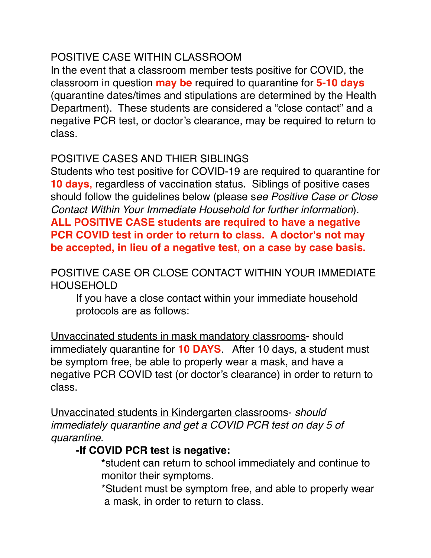### POSITIVE CASE WITHIN CLASSROOM

In the event that a classroom member tests positive for COVID, the classroom in question **may be** required to quarantine for **5-10 days**  (quarantine dates/times and stipulations are determined by the Health Department). These students are considered a "close contact" and a negative PCR test, or doctor's clearance, may be required to return to class.

# POSITIVE CASES AND THIER SIBLINGS

Students who test positive for COVID-19 are required to quarantine for **10 days,** regardless of vaccination status. Siblings of positive cases should follow the guidelines below (please s*ee Positive Case or Close Contact Within Your Immediate Household for further information*). **ALL POSITIVE CASE students are required to have a negative PCR COVID test in order to return to class. A doctor's not may be accepted, in lieu of a negative test, on a case by case basis.**

#### POSITIVE CASE OR CLOSE CONTACT WITHIN YOUR IMMEDIATE HOUSEHOLD

If you have a close contact within your immediate household protocols are as follows:

Unvaccinated students in mask mandatory classrooms- should immediately quarantine for **10 DAYS**. After 10 days, a student must be symptom free, be able to properly wear a mask, and have a negative PCR COVID test (or doctor's clearance) in order to return to class.

Unvaccinated students in Kindergarten classrooms- *should immediately quarantine and get a COVID PCR test on day 5 of quarantine.* 

### **-If COVID PCR test is negative:**

**\***student can return to school immediately and continue to monitor their symptoms.

\*Student must be symptom free, and able to properly wear a mask, in order to return to class.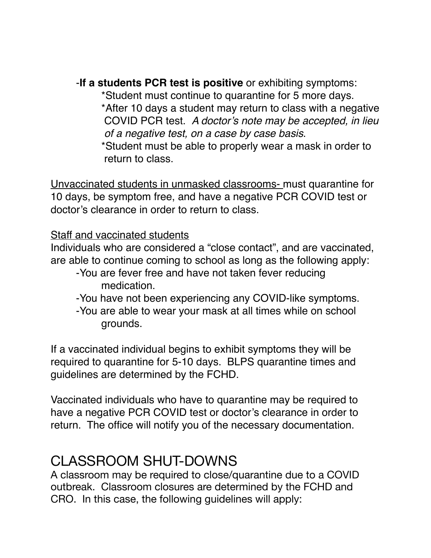-**If a students PCR test is positive** or exhibiting symptoms:

\*Student must continue to quarantine for 5 more days. \*After 10 days a student may return to class with a negative COVID PCR test. *A doctor's note may be accepted, in lieu of a negative test, on a case by case basis*.

\*Student must be able to properly wear a mask in order to return to class.

Unvaccinated students in unmasked classrooms- must quarantine for 10 days, be symptom free, and have a negative PCR COVID test or doctor's clearance in order to return to class.

#### Staff and vaccinated students

Individuals who are considered a "close contact", and are vaccinated, are able to continue coming to school as long as the following apply:

- -You are fever free and have not taken fever reducing medication.
- -You have not been experiencing any COVID-like symptoms.
- -You are able to wear your mask at all times while on school grounds.

If a vaccinated individual begins to exhibit symptoms they will be required to quarantine for 5-10 days. BLPS quarantine times and guidelines are determined by the FCHD.

Vaccinated individuals who have to quarantine may be required to have a negative PCR COVID test or doctor's clearance in order to return. The office will notify you of the necessary documentation.

# CLASSROOM SHUT-DOWNS

A classroom may be required to close/quarantine due to a COVID outbreak. Classroom closures are determined by the FCHD and CRO. In this case, the following guidelines will apply: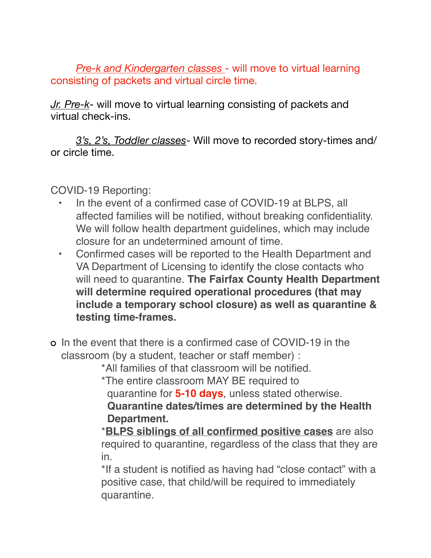*Pre-k and Kindergarten classes* - will move to virtual learning consisting of packets and virtual circle time.

*Jr. Pre-k*- will move to virtual learning consisting of packets and virtual check-ins.

*3's, 2's, Toddler classes*- Will move to recorded story-times and/ or circle time. 

COVID-19 Reporting:

- In the event of a confirmed case of COVID-19 at BLPS, all affected families will be notified, without breaking confidentiality. We will follow health department quidelines, which may include closure for an undetermined amount of time.
- Confirmed cases will be reported to the Health Department and VA Department of Licensing to identify the close contacts who will need to quarantine. **The Fairfax County Health Department will determine required operational procedures (that may include a temporary school closure) as well as quarantine & testing time-frames.**
- In the event that there is a confirmed case of COVID-19 in the classroom (by a student, teacher or staff member) :

\*All families of that classroom will be notified.

\*The entire classroom MAY BE required to

quarantine for **5-10 days**, unless stated otherwise.

 **Quarantine dates/times are determined by the Health Department.**

\***BLPS siblings of all confirmed positive cases** are also required to quarantine, regardless of the class that they are in.

\*If a student is notified as having had "close contact" with a positive case, that child/will be required to immediately quarantine.